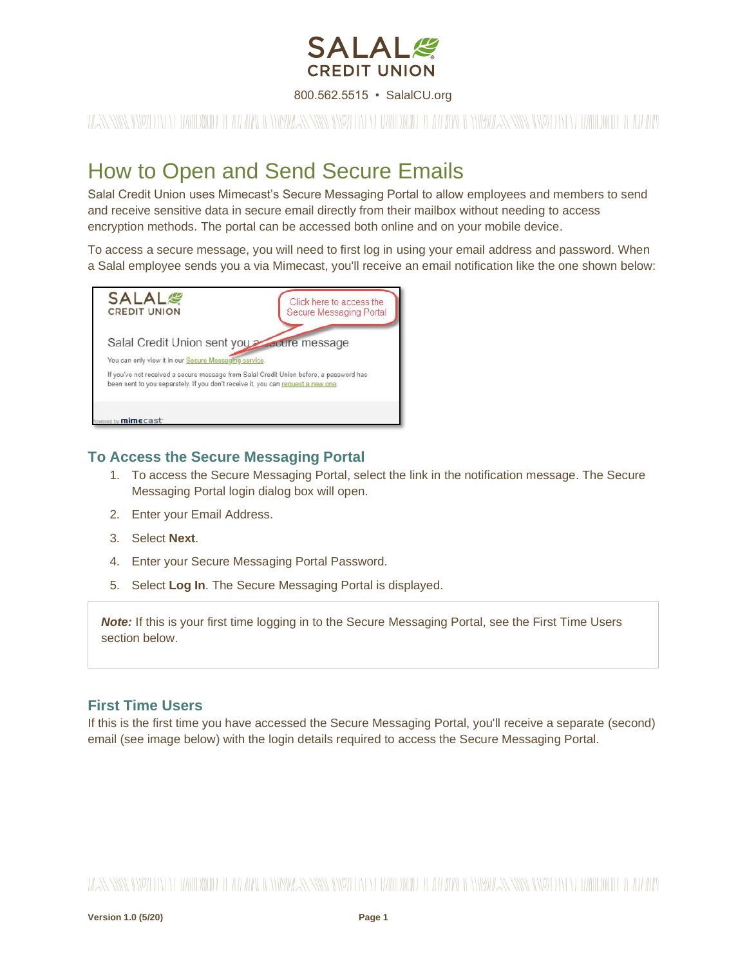

800.562.5515 • SalalCU.org

WAS SING INVERTING WITH THE WILL BE SINGLE SINGLE INVERTING WITH THE WILL BE SINGLE SINGLE IN THE WILL BE AN OWNER.

### How to Open and Send Secure Emails

Salal Credit Union uses Mimecast's Secure Messaging Portal to allow employees and members to send and receive sensitive data in secure email directly from their mailbox without needing to access encryption methods. The portal can be accessed both online and on your mobile device.

To access a secure message, you will need to first log in using your email address and password. When a Salal employee sends you a via Mimecast, you'll receive an email notification like the one shown below:



### **To Access the Secure Messaging Portal**

- 1. To access the Secure Messaging Portal, select the link in the notification message. The Secure Messaging Portal login dialog box will open.
- 2. Enter your Email Address.
- 3. Select **Next**.
- 4. Enter your Secure Messaging Portal Password.
- 5. Select **Log In**. The Secure Messaging Portal is displayed.

**Note:** If this is your first time logging in to the Secure Messaging Portal, see the First Time Users section below.

#### **First Time Users**

If this is the first time you have accessed the Secure Messaging Portal, you'll receive a separate (second) email (see image below) with the login details required to access the Secure Messaging Portal.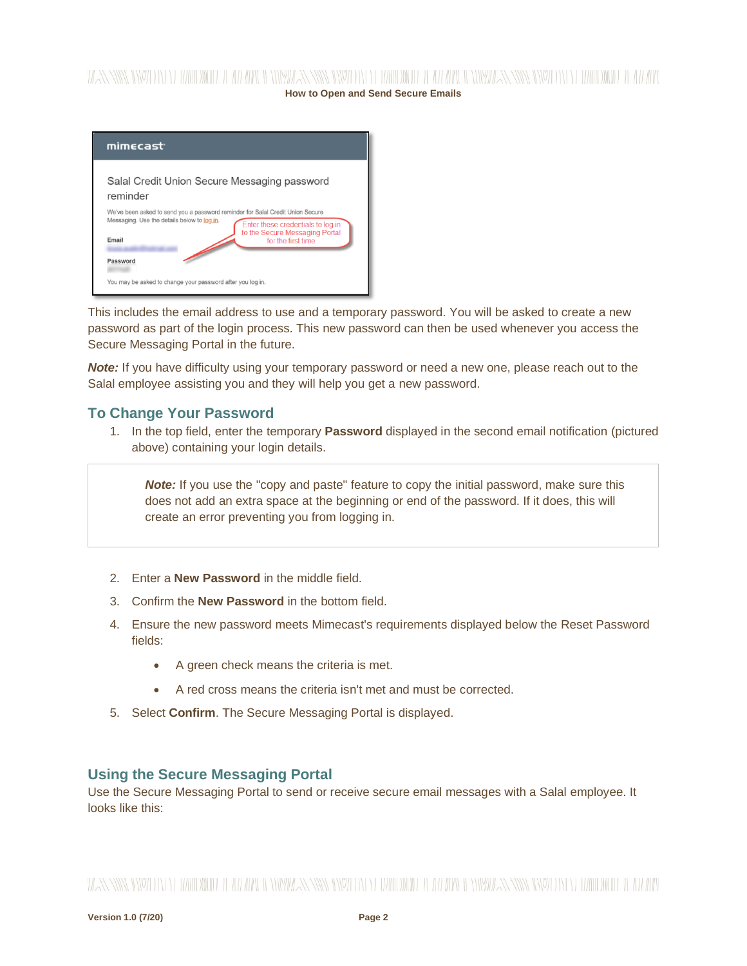# **How to Open and Send Secure Emails**

| mimecast <sup>.</sup>                                                                                                                                                                                                               |  |
|-------------------------------------------------------------------------------------------------------------------------------------------------------------------------------------------------------------------------------------|--|
| Salal Credit Union Secure Messaging password<br>reminder                                                                                                                                                                            |  |
| We've been asked to send you a password reminder for Salal Credit Union Secure<br>Messaging. Use the details below to log in.<br>Enter these credentials to log in<br>to the Secure Messaging Portal<br>Email<br>for the first time |  |
| Password<br>You may be asked to change your password after you log in.                                                                                                                                                              |  |

This includes the email address to use and a temporary password. You will be asked to create a new password as part of the login process. This new password can then be used whenever you access the Secure Messaging Portal in the future.

**Note:** If you have difficulty using your temporary password or need a new one, please reach out to the Salal employee assisting you and they will help you get a new password.

### **To Change Your Password**

1. In the top field, enter the temporary **Password** displayed in the second email notification (pictured above) containing your login details.

**Note:** If you use the "copy and paste" feature to copy the initial password, make sure this does not add an extra space at the beginning or end of the password. If it does, this will create an error preventing you from logging in.

- 2. Enter a **New Password** in the middle field.
- 3. Confirm the **New Password** in the bottom field.
- 4. Ensure the new password meets Mimecast's requirements displayed below the Reset Password fields:
	- A green check means the criteria is met.
	- A red cross means the criteria isn't met and must be corrected.
- 5. Select **Confirm**. The Secure Messaging Portal is displayed.

### **Using the Secure Messaging Portal**

Use the Secure Messaging Portal to send or receive secure email messages with a Salal employee. It looks like this: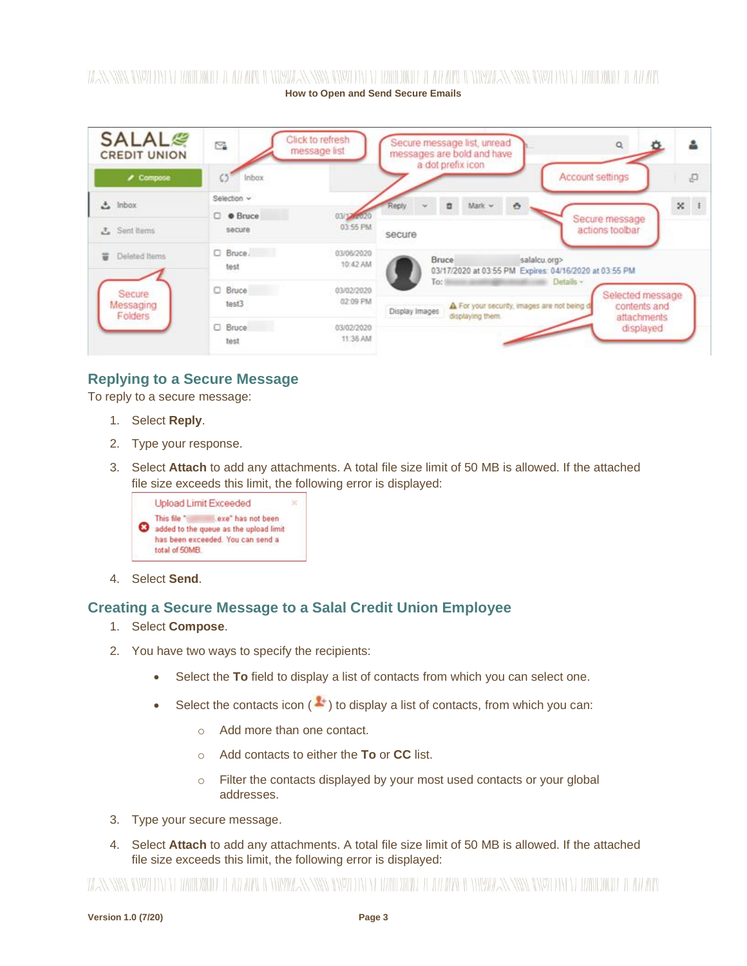## **How to Open and Send Secure Emails**

| <b>SALAL<sup>®</sup></b><br><b>CREDIT UNION</b> | ≌                        | Click to refresh<br>message list | Secure message list, unread<br>$\alpha$<br>档<br>messages are bold and have<br>a dot prefix icon                                                        |
|-------------------------------------------------|--------------------------|----------------------------------|--------------------------------------------------------------------------------------------------------------------------------------------------------|
| $\prime$ Compose                                | Inbox                    |                                  | P,<br>Account settings                                                                                                                                 |
| $\triangle$ Inbox                               | Selection v<br>C · Bruce | 03/17/2020                       | Mark $\sim$<br>ö.<br>×                                                                                                                                 |
| 3. Sent Items                                   | secure                   | 03:55 PM                         | Secure message<br>actions toolbar<br>secure                                                                                                            |
| Deleted Items<br>뿝                              | $D$ Bruce.<br>test       | 03/06/2020<br>10:42 AM           | Bruce<br>salalcu.org><br>03/17/2020 at 03:55 PM Expires: 04/16/2020 at 03:55 PM                                                                        |
| Secure<br>Messaging<br>Folders                  | C Bruce<br>test3         | 03/02/2020<br>02:09 PM           | Details -<br>To:<br>Selected message<br>For your security, images are not being d<br>contents and<br>Display Images<br>displaying them.<br>attachments |
|                                                 | C Bruce<br>test          | 03/02/2020<br>11:36 AM           | displayed                                                                                                                                              |

### **Replying to a Secure Message**

To reply to a secure message:

- 1. Select **Reply**.
- 2. Type your response.
- 3. Select **Attach** to add any attachments. A total file size limit of 50 MB is allowed. If the attached file size exceeds this limit, the following error is displayed:



4. Select **Send**.

### **Creating a Secure Message to a Salal Credit Union Employee**

- 1. Select **Compose**.
- 2. You have two ways to specify the recipients:
	- Select the **To** field to display a list of contacts from which you can select one.
	- Select the contacts icon  $($  $\blacktriangle$ <sup>+</sup>) to display a list of contacts, from which you can:
		- o Add more than one contact.
		- o Add contacts to either the **To** or **CC** list.
		- o Filter the contacts displayed by your most used contacts or your global addresses.
- 3. Type your secure message.
- 4. Select **Attach** to add any attachments. A total file size limit of 50 MB is allowed. If the attached file size exceeds this limit, the following error is displayed:

### WANNING INVERTING WITH THE WITH A WINDOW AND INTERFERING IN THE WITH THE WITH A NEW WANNANT IN THE WITHOW IT ANYWH